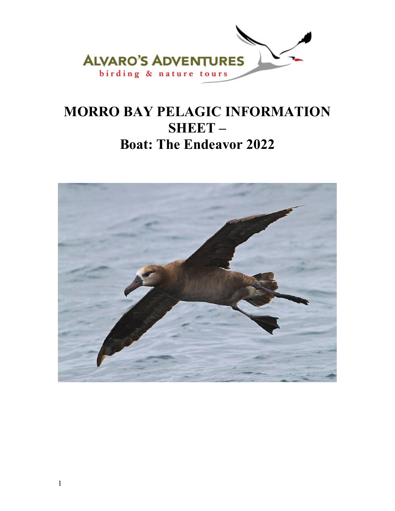

# **MORRO BAY PELAGIC INFORMATION SHEET – Boat: The Endeavor 2022**

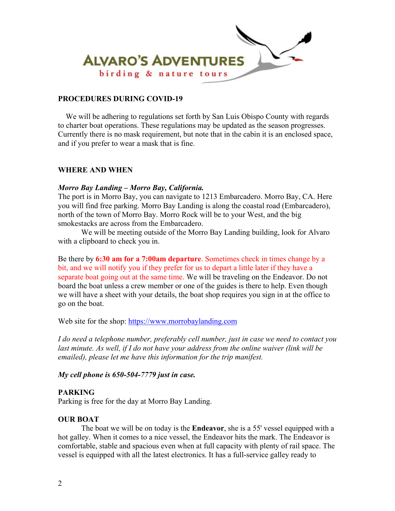

## **PROCEDURES DURING COVID-19**

 We will be adhering to regulations set forth by San Luis Obispo County with regards to charter boat operations. These regulations may be updated as the season progresses. Currently there is no mask requirement, but note that in the cabin it is an enclosed space, and if you prefer to wear a mask that is fine.

## **WHERE AND WHEN**

## *Morro Bay Landing – Morro Bay, California.*

The port is in Morro Bay, you can navigate to 1213 Embarcadero. Morro Bay, CA. Here you will find free parking. Morro Bay Landing is along the coastal road (Embarcadero), north of the town of Morro Bay. Morro Rock will be to your West, and the big smokestacks are across from the Embarcadero.

We will be meeting outside of the Morro Bay Landing building, look for Alvaro with a clipboard to check you in.

Be there by **6:30 am for a 7:00am departure**. Sometimes check in times change by a bit, and we will notify you if they prefer for us to depart a little later if they have a separate boat going out at the same time. We will be traveling on the Endeavor. Do not board the boat unless a crew member or one of the guides is there to help. Even though we will have a sheet with your details, the boat shop requires you sign in at the office to go on the boat.

Web site for the shop: https://www.morrobaylanding.com

*I do need a telephone number, preferably cell number, just in case we need to contact you last minute. As well, if I do not have your address from the online waiver (link will be emailed), please let me have this information for the trip manifest.* 

*My cell phone is 650-504-7779 just in case.* 

## **PARKING**

Parking is free for the day at Morro Bay Landing.

## **OUR BOAT**

 The boat we will be on today is the **Endeavor**, she is a 55' vessel equipped with a hot galley. When it comes to a nice vessel, the Endeavor hits the mark. The Endeavor is comfortable, stable and spacious even when at full capacity with plenty of rail space. The vessel is equipped with all the latest electronics. It has a full-service galley ready to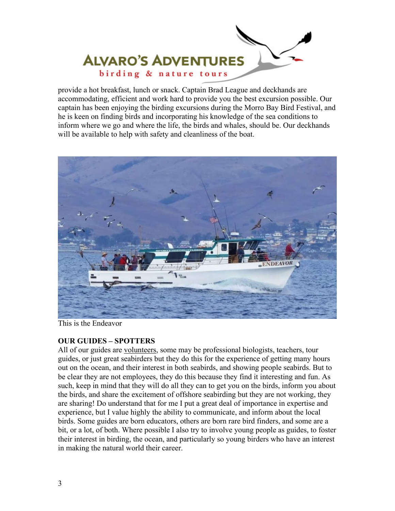

provide a hot breakfast, lunch or snack. Captain Brad League and deckhands are accommodating, efficient and work hard to provide you the best excursion possible. Our captain has been enjoying the birding excursions during the Morro Bay Bird Festival, and he is keen on finding birds and incorporating his knowledge of the sea conditions to inform where we go and where the life, the birds and whales, should be. Our deckhands will be available to help with safety and cleanliness of the boat.



This is the Endeavor

# **OUR GUIDES – SPOTTERS**

All of our guides are volunteers, some may be professional biologists, teachers, tour guides, or just great seabirders but they do this for the experience of getting many hours out on the ocean, and their interest in both seabirds, and showing people seabirds. But to be clear they are not employees, they do this because they find it interesting and fun. As such, keep in mind that they will do all they can to get you on the birds, inform you about the birds, and share the excitement of offshore seabirding but they are not working, they are sharing! Do understand that for me I put a great deal of importance in expertise and experience, but I value highly the ability to communicate, and inform about the local birds. Some guides are born educators, others are born rare bird finders, and some are a bit, or a lot, of both. Where possible I also try to involve young people as guides, to foster their interest in birding, the ocean, and particularly so young birders who have an interest in making the natural world their career.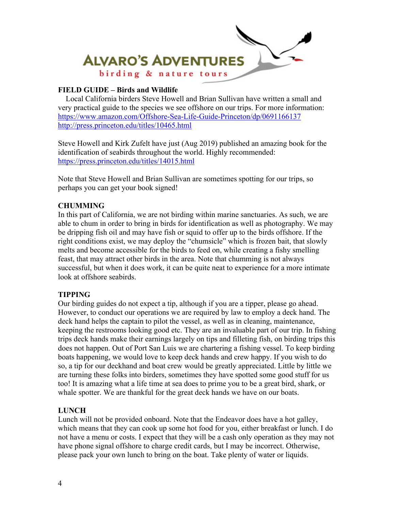

# **FIELD GUIDE – Birds and Wildlife**

 Local California birders Steve Howell and Brian Sullivan have written a small and very practical guide to the species we see offshore on our trips. For more information: https://www.amazon.com/Offshore-Sea-Life-Guide-Princeton/dp/0691166137 http://press.princeton.edu/titles/10465.html

Steve Howell and Kirk Zufelt have just (Aug 2019) published an amazing book for the identification of seabirds throughout the world. Highly recommended: https://press.princeton.edu/titles/14015.html

Note that Steve Howell and Brian Sullivan are sometimes spotting for our trips, so perhaps you can get your book signed!

# **CHUMMING**

In this part of California, we are not birding within marine sanctuaries. As such, we are able to chum in order to bring in birds for identification as well as photography. We may be dripping fish oil and may have fish or squid to offer up to the birds offshore. If the right conditions exist, we may deploy the "chumsicle" which is frozen bait, that slowly melts and become accessible for the birds to feed on, while creating a fishy smelling feast, that may attract other birds in the area. Note that chumming is not always successful, but when it does work, it can be quite neat to experience for a more intimate look at offshore seabirds.

# **TIPPING**

Our birding guides do not expect a tip, although if you are a tipper, please go ahead. However, to conduct our operations we are required by law to employ a deck hand. The deck hand helps the captain to pilot the vessel, as well as in cleaning, maintenance, keeping the restrooms looking good etc. They are an invaluable part of our trip. In fishing trips deck hands make their earnings largely on tips and filleting fish, on birding trips this does not happen. Out of Port San Luis we are chartering a fishing vessel. To keep birding boats happening, we would love to keep deck hands and crew happy. If you wish to do so, a tip for our deckhand and boat crew would be greatly appreciated. Little by little we are turning these folks into birders, sometimes they have spotted some good stuff for us too! It is amazing what a life time at sea does to prime you to be a great bird, shark, or whale spotter. We are thankful for the great deck hands we have on our boats.

# **LUNCH**

Lunch will not be provided onboard. Note that the Endeavor does have a hot galley, which means that they can cook up some hot food for you, either breakfast or lunch. I do not have a menu or costs. I expect that they will be a cash only operation as they may not have phone signal offshore to charge credit cards, but I may be incorrect. Otherwise, please pack your own lunch to bring on the boat. Take plenty of water or liquids.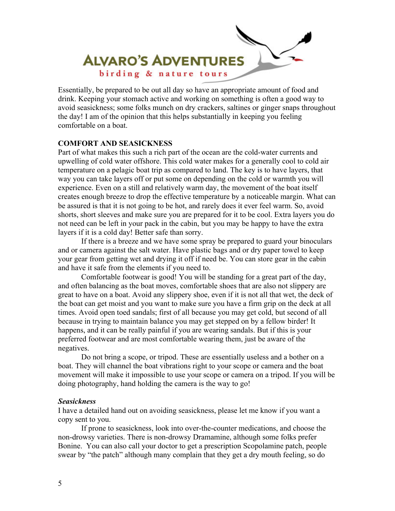

Essentially, be prepared to be out all day so have an appropriate amount of food and drink. Keeping your stomach active and working on something is often a good way to avoid seasickness; some folks munch on dry crackers, saltines or ginger snaps throughout the day! I am of the opinion that this helps substantially in keeping you feeling comfortable on a boat.

#### **COMFORT AND SEASICKNESS**

Part of what makes this such a rich part of the ocean are the cold-water currents and upwelling of cold water offshore. This cold water makes for a generally cool to cold air temperature on a pelagic boat trip as compared to land. The key is to have layers, that way you can take layers off or put some on depending on the cold or warmth you will experience. Even on a still and relatively warm day, the movement of the boat itself creates enough breeze to drop the effective temperature by a noticeable margin. What can be assured is that it is not going to be hot, and rarely does it ever feel warm. So, avoid shorts, short sleeves and make sure you are prepared for it to be cool. Extra layers you do not need can be left in your pack in the cabin, but you may be happy to have the extra layers if it is a cold day! Better safe than sorry.

 If there is a breeze and we have some spray be prepared to guard your binoculars and or camera against the salt water. Have plastic bags and or dry paper towel to keep your gear from getting wet and drying it off if need be. You can store gear in the cabin and have it safe from the elements if you need to.

 Comfortable footwear is good! You will be standing for a great part of the day, and often balancing as the boat moves, comfortable shoes that are also not slippery are great to have on a boat. Avoid any slippery shoe, even if it is not all that wet, the deck of the boat can get moist and you want to make sure you have a firm grip on the deck at all times. Avoid open toed sandals; first of all because you may get cold, but second of all because in trying to maintain balance you may get stepped on by a fellow birder! It happens, and it can be really painful if you are wearing sandals. But if this is your preferred footwear and are most comfortable wearing them, just be aware of the negatives.

 Do not bring a scope, or tripod. These are essentially useless and a bother on a boat. They will channel the boat vibrations right to your scope or camera and the boat movement will make it impossible to use your scope or camera on a tripod. If you will be doing photography, hand holding the camera is the way to go!

#### *Seasickness*

I have a detailed hand out on avoiding seasickness, please let me know if you want a copy sent to you.

If prone to seasickness, look into over-the-counter medications, and choose the non-drowsy varieties. There is non-drowsy Dramamine, although some folks prefer Bonine. You can also call your doctor to get a prescription Scopolamine patch, people swear by "the patch" although many complain that they get a dry mouth feeling, so do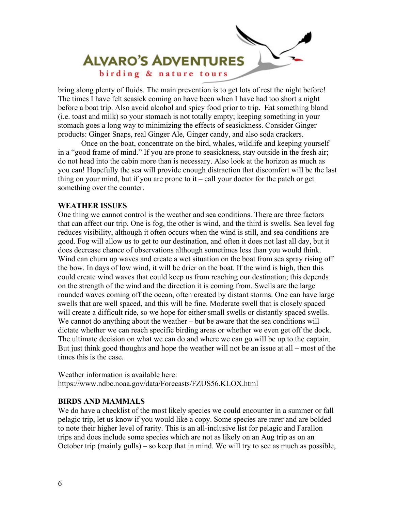

bring along plenty of fluids. The main prevention is to get lots of rest the night before! The times I have felt seasick coming on have been when I have had too short a night before a boat trip. Also avoid alcohol and spicy food prior to trip. Eat something bland (i.e. toast and milk) so your stomach is not totally empty; keeping something in your stomach goes a long way to minimizing the effects of seasickness. Consider Ginger products: Ginger Snaps, real Ginger Ale, Ginger candy, and also soda crackers.

 Once on the boat, concentrate on the bird, whales, wildlife and keeping yourself in a "good frame of mind." If you are prone to seasickness, stay outside in the fresh air; do not head into the cabin more than is necessary. Also look at the horizon as much as you can! Hopefully the sea will provide enough distraction that discomfort will be the last thing on your mind, but if you are prone to  $it - call$  your doctor for the patch or get something over the counter.

## **WEATHER ISSUES**

One thing we cannot control is the weather and sea conditions. There are three factors that can affect our trip. One is fog, the other is wind, and the third is swells. Sea level fog reduces visibility, although it often occurs when the wind is still, and sea conditions are good. Fog will allow us to get to our destination, and often it does not last all day, but it does decrease chance of observations although sometimes less than you would think. Wind can churn up waves and create a wet situation on the boat from sea spray rising off the bow. In days of low wind, it will be drier on the boat. If the wind is high, then this could create wind waves that could keep us from reaching our destination; this depends on the strength of the wind and the direction it is coming from. Swells are the large rounded waves coming off the ocean, often created by distant storms. One can have large swells that are well spaced, and this will be fine. Moderate swell that is closely spaced will create a difficult ride, so we hope for either small swells or distantly spaced swells. We cannot do anything about the weather – but be aware that the sea conditions will dictate whether we can reach specific birding areas or whether we even get off the dock. The ultimate decision on what we can do and where we can go will be up to the captain. But just think good thoughts and hope the weather will not be an issue at all – most of the times this is the case.

Weather information is available here: https://www.ndbc.noaa.gov/data/Forecasts/FZUS56.KLOX.html

## **BIRDS AND MAMMALS**

We do have a checklist of the most likely species we could encounter in a summer or fall pelagic trip, let us know if you would like a copy. Some species are rarer and are bolded to note their higher level of rarity. This is an all-inclusive list for pelagic and Farallon trips and does include some species which are not as likely on an Aug trip as on an October trip (mainly gulls) – so keep that in mind. We will try to see as much as possible,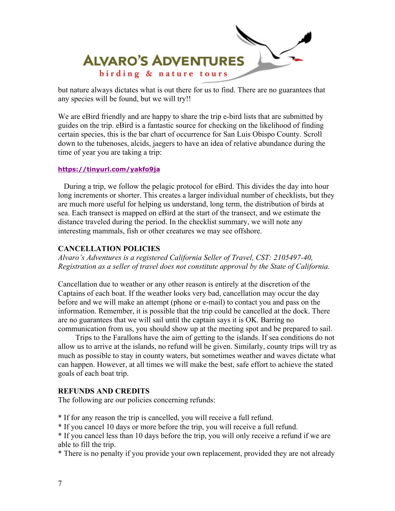

but nature always dictates what is out there for us to find. There are no guarantees that any species will be found, but we will try!!

We are eBird friendly and are happy to share the trip e-bird lists that are submitted by guides on the trip. eBird is a fantastic source for checking on the likelihood of finding certain species, this is the bar chart of occurrence for San Luis Obispo County. Scroll down to the tubenoses, alcids, jaegers to have an idea of relative abundance during the time of year you are taking a trip:

#### **https://tinyurl.com/yakfo9ja**

 During a trip, we follow the pelagic protocol for eBird. This divides the day into hour long increments or shorter. This creates a larger individual number of checklists, but they are much more useful for helping us understand, long term, the distribution of birds at sea. Each transect is mapped on eBird at the start of the transect, and we estimate the distance traveled during the period. In the checklist summary, we will note any interesting mammals, fish or other creatures we may see offshore.

#### **CANCELLATION POLICIES**

*Alvaro's Adventures is a registered California Seller of Travel, CST: 2105497-40, Registration as a seller of travel does not constitute approval by the State of California.* 

Cancellation due to weather or any other reason is entirely at the discretion of the Captains of each boat. If the weather looks very bad, cancellation may occur the day before and we will make an attempt (phone or e-mail) to contact you and pass on the information. Remember, it is possible that the trip could be cancelled at the dock. There are no guarantees that we will sail until the captain says it is OK. Barring no communication from us, you should show up at the meeting spot and be prepared to sail.

 Trips to the Farallons have the aim of getting to the islands. If sea conditions do not allow us to arrive at the islands, no refund will be given. Similarly, county trips will try as much as possible to stay in county waters, but sometimes weather and waves dictate what can happen. However, at all times we will make the best, safe effort to achieve the stated goals of each boat trip.

#### **REFUNDS AND CREDITS**

The following are our policies concerning refunds:

\* If for any reason the trip is cancelled, you will receive a full refund.

\* If you cancel 10 days or more before the trip, you will receive a full refund.

\* If you cancel less than 10 days before the trip, you will only receive a refund if we are able to fill the trip.

\* There is no penalty if you provide your own replacement, provided they are not already